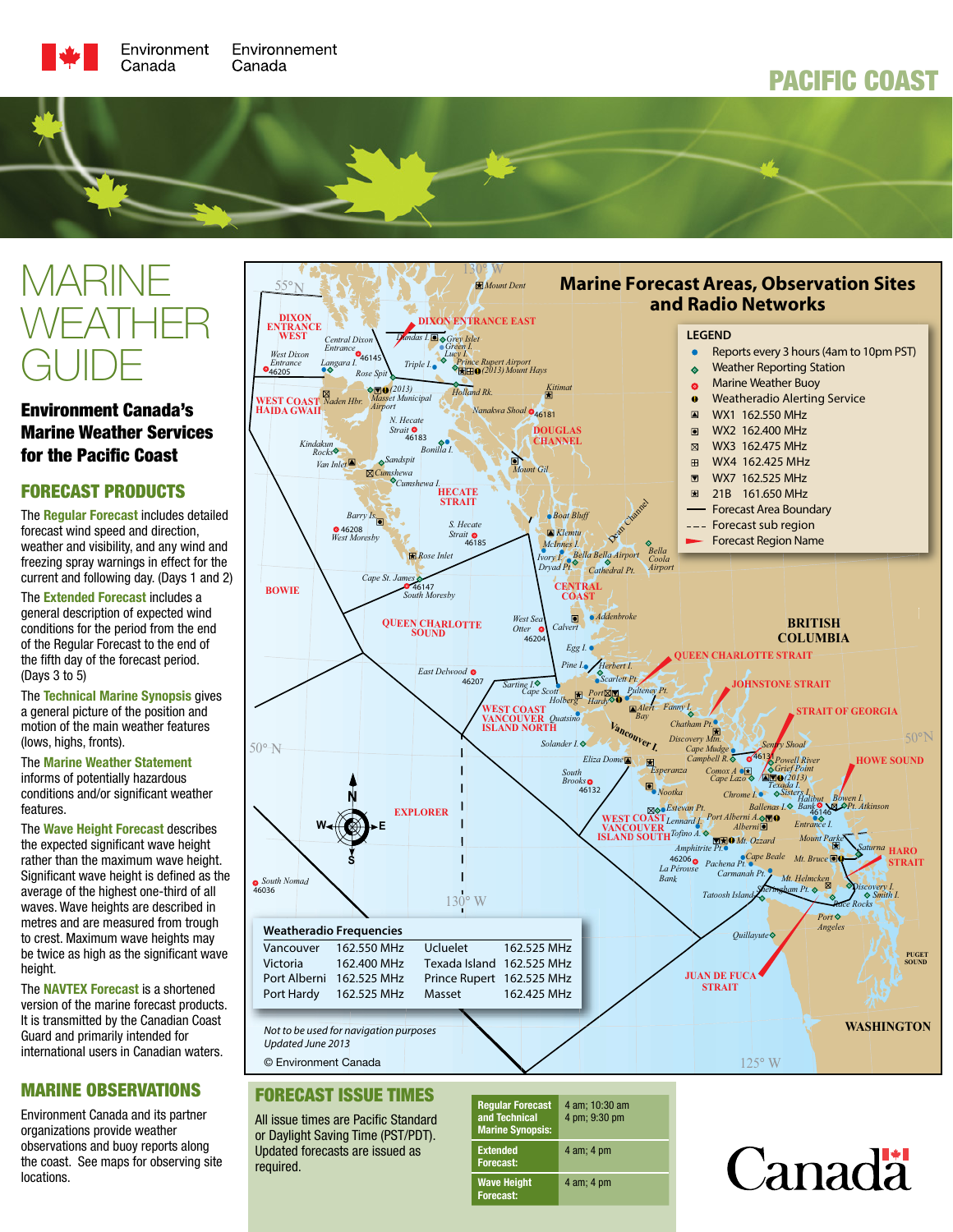# PACIFIC COAST

# MARINE WEATHER GUIDE

# Environment Canada's Marine Weather Services for the Pacific Coast

# FORECAST PRODUCTS

The Regular Forecast includes detailed forecast wind speed and direction, weather and visibility, and any wind and freezing spray warnings in effect for the current and following day. (Days 1 and 2)

The **Extended Forecast** includes a general description of expected wind conditions for the period from the end of the Regular Forecast to the end of the fifth day of the forecast period. (Days 3 to 5)

The Technical Marine Synopsis gives a general picture of the position and motion of the main weather features (lows, highs, fronts).

#### The Marine Weather Statement informs of potentially hazardous conditions and/or significant weather features.

The Wave Height Forecast describes the expected significant wave height rather than the maximum wave height. Significant wave height is defined as the average of the highest one-third of all waves. Wave heights are described in metres and are measured from trough to crest. Maximum wave heights may be twice as high as the significant wave height.

The NAVTEX Forecast is a shortened version of the marine forecast products. It is transmitted by the Canadian Coast Guard and primarily intended for international users in Canadian waters.

# MARINE OBSERVATIONS

Environment Canada and its partner organizations provide weather observations and buoy reports along the coast. See maps for observing site locations.